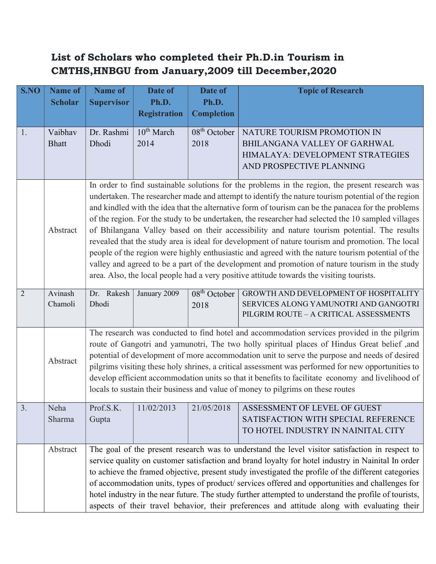## List of Scholars who completed their Ph.D.in Tourism in CMTHS,HNBGU from January,2009 till December,2020

| S.NO           | <b>Name of</b><br><b>Scholar</b> | <b>Name of</b><br><b>Supervisor</b>                                                                                                                                                                                                                                                                                                                                                                                                                                                                                                                                                                                                                                                                                                                                                                                                                                                                                     | Date of<br>Ph.D.        | Date of<br>Ph.D.       | <b>Topic of Research</b>                                                                                                    |  |  |
|----------------|----------------------------------|-------------------------------------------------------------------------------------------------------------------------------------------------------------------------------------------------------------------------------------------------------------------------------------------------------------------------------------------------------------------------------------------------------------------------------------------------------------------------------------------------------------------------------------------------------------------------------------------------------------------------------------------------------------------------------------------------------------------------------------------------------------------------------------------------------------------------------------------------------------------------------------------------------------------------|-------------------------|------------------------|-----------------------------------------------------------------------------------------------------------------------------|--|--|
|                |                                  |                                                                                                                                                                                                                                                                                                                                                                                                                                                                                                                                                                                                                                                                                                                                                                                                                                                                                                                         | <b>Registration</b>     | <b>Completion</b>      |                                                                                                                             |  |  |
| 1.             | Vaibhav<br><b>Bhatt</b>          | Dr. Rashmi<br>Dhodi                                                                                                                                                                                                                                                                                                                                                                                                                                                                                                                                                                                                                                                                                                                                                                                                                                                                                                     | $10^{th}$ March<br>2014 | $08th$ October<br>2018 | NATURE TOURISM PROMOTION IN<br>BHILANGANA VALLEY OF GARHWAL<br>HIMALAYA: DEVELOPMENT STRATEGIES<br>AND PROSPECTIVE PLANNING |  |  |
|                | Abstract                         | In order to find sustainable solutions for the problems in the region, the present research was<br>undertaken. The researcher made and attempt to identify the nature tourism potential of the region<br>and kindled with the idea that the alternative form of tourism can be the panacea for the problems<br>of the region. For the study to be undertaken, the researcher had selected the 10 sampled villages<br>of Bhilangana Valley based on their accessibility and nature tourism potential. The results<br>revealed that the study area is ideal for development of nature tourism and promotion. The local<br>people of the region were highly enthusiastic and agreed with the nature tourism potential of the<br>valley and agreed to be a part of the development and promotion of nature tourism in the study<br>area. Also, the local people had a very positive attitude towards the visiting tourists. |                         |                        |                                                                                                                             |  |  |
| $\overline{2}$ | Avinash<br>Chamoli               | Dr. Rakesh<br>Dhodi                                                                                                                                                                                                                                                                                                                                                                                                                                                                                                                                                                                                                                                                                                                                                                                                                                                                                                     | January 2009            | $08th$ October<br>2018 | GROWTH AND DEVELOPMENT OF HOSPITALITY<br>SERVICES ALONG YAMUNOTRI AND GANGOTRI<br>PILGRIM ROUTE - A CRITICAL ASSESSMENTS    |  |  |
|                | Abstract                         | The research was conducted to find hotel and accommodation services provided in the pilgrim<br>route of Gangotri and yamunotri, The two holly spiritual places of Hindus Great belief ,and<br>potential of development of more accommodation unit to serve the purpose and needs of desired<br>pilgrims visiting these holy shrines, a critical assessment was performed for new opportunities to<br>develop efficient accommodation units so that it benefits to facilitate economy and livelihood of<br>locals to sustain their business and value of money to pilgrims on these routes                                                                                                                                                                                                                                                                                                                               |                         |                        |                                                                                                                             |  |  |
| 3.             | Neha<br>Sharma                   | Prof.S.K.<br>Gupta                                                                                                                                                                                                                                                                                                                                                                                                                                                                                                                                                                                                                                                                                                                                                                                                                                                                                                      | 11/02/2013              | 21/05/2018             | ASSESSMENT OF LEVEL OF GUEST<br>SATISFACTION WITH SPECIAL REFERENCE<br>TO HOTEL INDUSTRY IN NAINITAL CITY                   |  |  |
|                | Abstract                         | The goal of the present research was to understand the level visitor satisfaction in respect to<br>service quality on customer satisfaction and brand loyalty for hotel industry in Nainital In order<br>to achieve the framed objective, present study investigated the profile of the different categories<br>of accommodation units, types of product/ services offered and opportunities and challenges for<br>hotel industry in the near future. The study further attempted to understand the profile of tourists,<br>aspects of their travel behavior, their preferences and attitude along with evaluating their                                                                                                                                                                                                                                                                                                |                         |                        |                                                                                                                             |  |  |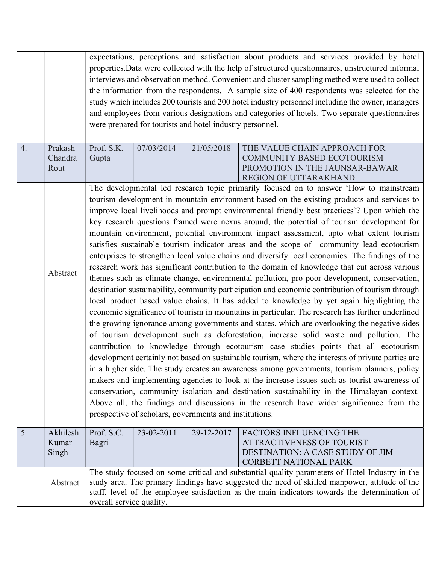|    |                            | expectations, perceptions and satisfaction about products and services provided by hotel<br>properties. Data were collected with the help of structured questionnaires, unstructured informal<br>interviews and observation method. Convenient and cluster sampling method were used to collect<br>the information from the respondents. A sample size of 400 respondents was selected for the<br>study which includes 200 tourists and 200 hotel industry personnel including the owner, managers<br>and employees from various designations and categories of hotels. Two separate questionnaires<br>were prepared for tourists and hotel industry personnel.                                                                                                                                                                                                                                                                                                                                                                                                                                                                                                                                                                                                                                                                                                                                                                                                                                                                                                                                                                                                                                                                                                                                                                                                                                                                                                                                                            |            |            |                                                                                                                                                                                                                                                                                                  |  |
|----|----------------------------|----------------------------------------------------------------------------------------------------------------------------------------------------------------------------------------------------------------------------------------------------------------------------------------------------------------------------------------------------------------------------------------------------------------------------------------------------------------------------------------------------------------------------------------------------------------------------------------------------------------------------------------------------------------------------------------------------------------------------------------------------------------------------------------------------------------------------------------------------------------------------------------------------------------------------------------------------------------------------------------------------------------------------------------------------------------------------------------------------------------------------------------------------------------------------------------------------------------------------------------------------------------------------------------------------------------------------------------------------------------------------------------------------------------------------------------------------------------------------------------------------------------------------------------------------------------------------------------------------------------------------------------------------------------------------------------------------------------------------------------------------------------------------------------------------------------------------------------------------------------------------------------------------------------------------------------------------------------------------------------------------------------------------|------------|------------|--------------------------------------------------------------------------------------------------------------------------------------------------------------------------------------------------------------------------------------------------------------------------------------------------|--|
| 4. | Prakash<br>Chandra<br>Rout | Prof. S.K.<br>Gupta                                                                                                                                                                                                                                                                                                                                                                                                                                                                                                                                                                                                                                                                                                                                                                                                                                                                                                                                                                                                                                                                                                                                                                                                                                                                                                                                                                                                                                                                                                                                                                                                                                                                                                                                                                                                                                                                                                                                                                                                        | 07/03/2014 | 21/05/2018 | THE VALUE CHAIN APPROACH FOR<br>COMMUNITY BASED ECOTOURISM<br>PROMOTION IN THE JAUNSAR-BAWAR<br>REGION OF UTTARAKHAND                                                                                                                                                                            |  |
|    | Abstract                   | The developmental led research topic primarily focused on to answer 'How to mainstream<br>tourism development in mountain environment based on the existing products and services to<br>improve local livelihoods and prompt environmental friendly best practices'? Upon which the<br>key research questions framed were nexus around; the potential of tourism development for<br>mountain environment, potential environment impact assessment, upto what extent tourism<br>satisfies sustainable tourism indicator areas and the scope of community lead ecotourism<br>enterprises to strengthen local value chains and diversify local economies. The findings of the<br>research work has significant contribution to the domain of knowledge that cut across various<br>themes such as climate change, environmental pollution, pro-poor development, conservation,<br>destination sustainability, community participation and economic contribution of tourism through<br>local product based value chains. It has added to knowledge by yet again highlighting the<br>economic significance of tourism in mountains in particular. The research has further underlined<br>the growing ignorance among governments and states, which are overlooking the negative sides<br>of tourism development such as deforestation, increase solid waste and pollution. The<br>contribution to knowledge through ecotourism case studies points that all ecotourism<br>development certainly not based on sustainable tourism, where the interests of private parties are<br>in a higher side. The study creates an awareness among governments, tourism planners, policy<br>makers and implementing agencies to look at the increase issues such as tourist awareness of<br>conservation, community isolation and destination sustainability in the Himalayan context.<br>Above all, the findings and discussions in the research have wider significance from the<br>prospective of scholars, governments and institutions. |            |            |                                                                                                                                                                                                                                                                                                  |  |
| 5. | Akhilesh<br>Kumar<br>Singh | Prof. S.C.<br>Bagri                                                                                                                                                                                                                                                                                                                                                                                                                                                                                                                                                                                                                                                                                                                                                                                                                                                                                                                                                                                                                                                                                                                                                                                                                                                                                                                                                                                                                                                                                                                                                                                                                                                                                                                                                                                                                                                                                                                                                                                                        | 23-02-2011 | 29-12-2017 | <b>FACTORS INFLUENCING THE</b><br><b>ATTRACTIVENESS OF TOURIST</b><br>DESTINATION: A CASE STUDY OF JIM<br><b>CORBETT NATIONAL PARK</b>                                                                                                                                                           |  |
|    | Abstract                   | overall service quality.                                                                                                                                                                                                                                                                                                                                                                                                                                                                                                                                                                                                                                                                                                                                                                                                                                                                                                                                                                                                                                                                                                                                                                                                                                                                                                                                                                                                                                                                                                                                                                                                                                                                                                                                                                                                                                                                                                                                                                                                   |            |            | The study focused on some critical and substantial quality parameters of Hotel Industry in the<br>study area. The primary findings have suggested the need of skilled manpower, attitude of the<br>staff, level of the employee satisfaction as the main indicators towards the determination of |  |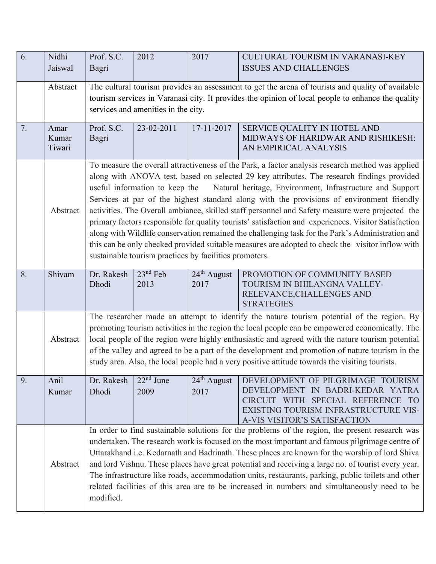| 6. | Nidhi    | Prof. S.C.          | 2012                                                   | 2017                  | CULTURAL TOURISM IN VARANASI-KEY                                                                     |
|----|----------|---------------------|--------------------------------------------------------|-----------------------|------------------------------------------------------------------------------------------------------|
|    | Jaiswal  | Bagri               |                                                        |                       | <b>ISSUES AND CHALLENGES</b>                                                                         |
|    |          |                     |                                                        |                       |                                                                                                      |
|    | Abstract |                     |                                                        |                       | The cultural tourism provides an assessment to get the arena of tourists and quality of available    |
|    |          |                     |                                                        |                       | tourism services in Varanasi city. It provides the opinion of local people to enhance the quality    |
|    |          |                     | services and amenities in the city.                    |                       |                                                                                                      |
| 7. | Amar     | Prof. S.C.          | 23-02-2011                                             | 17-11-2017            | SERVICE QUALITY IN HOTEL AND                                                                         |
|    | Kumar    | Bagri               |                                                        |                       | MIDWAYS OF HARIDWAR AND RISHIKESH:                                                                   |
|    | Tiwari   |                     |                                                        |                       | AN EMPIRICAL ANALYSIS                                                                                |
|    |          |                     |                                                        |                       | To measure the overall attractiveness of the Park, a factor analysis research method was applied     |
|    |          |                     |                                                        |                       | along with ANOVA test, based on selected 29 key attributes. The research findings provided           |
|    |          |                     | useful information to keep the                         |                       | Natural heritage, Environment, Infrastructure and Support                                            |
|    |          |                     |                                                        |                       | Services at par of the highest standard along with the provisions of environment friendly            |
|    | Abstract |                     |                                                        |                       | activities. The Overall ambiance, skilled staff personnel and Safety measure were projected the      |
|    |          |                     |                                                        |                       | primary factors responsible for quality tourists' satisfaction and experiences. Visitor Satisfaction |
|    |          |                     |                                                        |                       | along with Wildlife conservation remained the challenging task for the Park's Administration and     |
|    |          |                     |                                                        |                       | this can be only checked provided suitable measures are adopted to check the visitor inflow with     |
|    |          |                     | sustainable tourism practices by facilities promoters. |                       |                                                                                                      |
|    |          |                     |                                                        |                       |                                                                                                      |
| 8. | Shivam   | Dr. Rakesh<br>Dhodi | $23nd$ Feb<br>2013                                     | $24th$ August<br>2017 | PROMOTION OF COMMUNITY BASED<br>TOURISM IN BHILANGNA VALLEY-                                         |
|    |          |                     |                                                        |                       | RELEVANCE, CHALLENGES AND                                                                            |
|    |          |                     |                                                        |                       | <b>STRATEGIES</b>                                                                                    |
|    |          |                     |                                                        |                       | The researcher made an attempt to identify the nature tourism potential of the region. By            |
|    |          |                     |                                                        |                       | promoting tourism activities in the region the local people can be empowered economically. The       |
|    | Abstract |                     |                                                        |                       | local people of the region were highly enthusiastic and agreed with the nature tourism potential     |
|    |          |                     |                                                        |                       | of the valley and agreed to be a part of the development and promotion of nature tourism in the      |
|    |          |                     |                                                        |                       | study area. Also, the local people had a very positive attitude towards the visiting tourists.       |
| 9. | Anil     | Dr. Rakesh          | $22nd$ June                                            | $24th$ August         | DEVELOPMENT OF PILGRIMAGE TOURISM                                                                    |
|    | Kumar    | Dhodi               | 2009                                                   | 2017                  | DEVELOPMENT IN BADRI-KEDAR YATRA                                                                     |
|    |          |                     |                                                        |                       | CIRCUIT WITH SPECIAL REFERENCE TO                                                                    |
|    |          |                     |                                                        |                       | EXISTING TOURISM INFRASTRUCTURE VIS-                                                                 |
|    |          |                     |                                                        |                       | A-VIS VISITOR'S SATISFACTION                                                                         |
|    |          |                     |                                                        |                       | In order to find sustainable solutions for the problems of the region, the present research was      |
|    |          |                     |                                                        |                       | undertaken. The research work is focused on the most important and famous pilgrimage centre of       |
|    |          |                     |                                                        |                       | Uttarakhand i.e. Kedarnath and Badrinath. These places are known for the worship of lord Shiva       |
|    | Abstract |                     |                                                        |                       | and lord Vishnu. These places have great potential and receiving a large no. of tourist every year.  |
|    |          |                     |                                                        |                       | The infrastructure like roads, accommodation units, restaurants, parking, public toilets and other   |
|    |          |                     |                                                        |                       | related facilities of this area are to be increased in numbers and simultaneously need to be         |
|    |          | modified.           |                                                        |                       |                                                                                                      |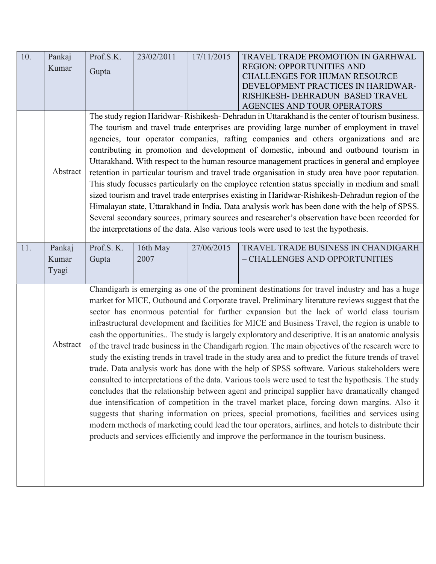| 10. | Pankaj   | Prof.S.K. | 23/02/2011 | 17/11/2015 | TRAVEL TRADE PROMOTION IN GARHWAL<br><b>REGION: OPPORTUNITIES AND</b>                                  |
|-----|----------|-----------|------------|------------|--------------------------------------------------------------------------------------------------------|
|     | Kumar    | Gupta     |            |            | <b>CHALLENGES FOR HUMAN RESOURCE</b>                                                                   |
|     |          |           |            |            | DEVELOPMENT PRACTICES IN HARIDWAR-                                                                     |
|     |          |           |            |            | RISHIKESH- DEHRADUN BASED TRAVEL                                                                       |
|     |          |           |            |            | AGENCIES AND TOUR OPERATORS                                                                            |
|     |          |           |            |            | The study region Haridwar-Rishikesh-Dehradun in Uttarakhand is the center of tourism business.         |
|     |          |           |            |            | The tourism and travel trade enterprises are providing large number of employment in travel            |
|     |          |           |            |            | agencies, tour operator companies, rafting companies and others organizations and are                  |
|     |          |           |            |            | contributing in promotion and development of domestic, inbound and outbound tourism in                 |
|     |          |           |            |            | Uttarakhand. With respect to the human resource management practices in general and employee           |
|     | Abstract |           |            |            | retention in particular tourism and travel trade organisation in study area have poor reputation.      |
|     |          |           |            |            | This study focusses particularly on the employee retention status specially in medium and small        |
|     |          |           |            |            | sized tourism and travel trade enterprises existing in Haridwar-Rishikesh-Dehradun region of the       |
|     |          |           |            |            | Himalayan state, Uttarakhand in India. Data analysis work has been done with the help of SPSS.         |
|     |          |           |            |            | Several secondary sources, primary sources and researcher's observation have been recorded for         |
|     |          |           |            |            | the interpretations of the data. Also various tools were used to test the hypothesis.                  |
|     |          |           |            |            |                                                                                                        |
| 11. | Pankaj   | Prof.S.K. | 16th May   | 27/06/2015 | TRAVEL TRADE BUSINESS IN CHANDIGARH                                                                    |
|     | Kumar    | Gupta     | 2007       |            | - CHALLENGES AND OPPORTUNITIES                                                                         |
|     | Tyagi    |           |            |            |                                                                                                        |
|     |          |           |            |            | Chandigarh is emerging as one of the prominent destinations for travel industry and has a huge         |
|     |          |           |            |            | market for MICE, Outbound and Corporate travel. Preliminary literature reviews suggest that the        |
|     |          |           |            |            | sector has enormous potential for further expansion but the lack of world class tourism                |
|     |          |           |            |            | infrastructural development and facilities for MICE and Business Travel, the region is unable to       |
|     |          |           |            |            | cash the opportunities The study is largely exploratory and descriptive. It is an anatomic analysis    |
|     | Abstract |           |            |            | of the travel trade business in the Chandigarh region. The main objectives of the research were to     |
|     |          |           |            |            | study the existing trends in travel trade in the study area and to predict the future trends of travel |
|     |          |           |            |            | trade. Data analysis work has done with the help of SPSS software. Various stakeholders were           |
|     |          |           |            |            | consulted to interpretations of the data. Various tools were used to test the hypothesis. The study    |
|     |          |           |            |            | concludes that the relationship between agent and principal supplier have dramatically changed         |
|     |          |           |            |            | due intensification of competition in the travel market place, forcing down margins. Also it           |
|     |          |           |            |            | suggests that sharing information on prices, special promotions, facilities and services using         |
|     |          |           |            |            | modern methods of marketing could lead the tour operators, airlines, and hotels to distribute their    |
|     |          |           |            |            | products and services efficiently and improve the performance in the tourism business.                 |
|     |          |           |            |            |                                                                                                        |
|     |          |           |            |            |                                                                                                        |
|     |          |           |            |            |                                                                                                        |
|     |          |           |            |            |                                                                                                        |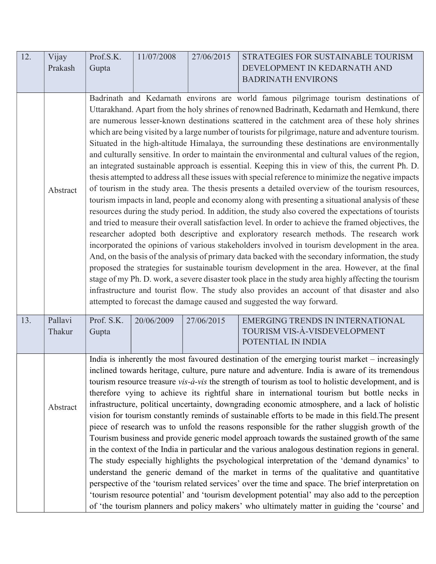| 12. | Vijay             | Prof.S.K.                                                                                                                                                                                                                                                                                                                                                                                                                                                                                                                                                                                                                                                                                                                                                                                                                                                                                                                                                                                                                                                                                                                                                                                                                                                                                                                                                                                                                                                                                                                                                                                                                                                                                                                                                                                                                                                                                                                         | 11/07/2008 | 27/06/2015 | STRATEGIES FOR SUSTAINABLE TOURISM                                                            |  |  |
|-----|-------------------|-----------------------------------------------------------------------------------------------------------------------------------------------------------------------------------------------------------------------------------------------------------------------------------------------------------------------------------------------------------------------------------------------------------------------------------------------------------------------------------------------------------------------------------------------------------------------------------------------------------------------------------------------------------------------------------------------------------------------------------------------------------------------------------------------------------------------------------------------------------------------------------------------------------------------------------------------------------------------------------------------------------------------------------------------------------------------------------------------------------------------------------------------------------------------------------------------------------------------------------------------------------------------------------------------------------------------------------------------------------------------------------------------------------------------------------------------------------------------------------------------------------------------------------------------------------------------------------------------------------------------------------------------------------------------------------------------------------------------------------------------------------------------------------------------------------------------------------------------------------------------------------------------------------------------------------|------------|------------|-----------------------------------------------------------------------------------------------|--|--|
|     | Prakash           | Gupta                                                                                                                                                                                                                                                                                                                                                                                                                                                                                                                                                                                                                                                                                                                                                                                                                                                                                                                                                                                                                                                                                                                                                                                                                                                                                                                                                                                                                                                                                                                                                                                                                                                                                                                                                                                                                                                                                                                             |            |            | DEVELOPMENT IN KEDARNATH AND                                                                  |  |  |
|     |                   |                                                                                                                                                                                                                                                                                                                                                                                                                                                                                                                                                                                                                                                                                                                                                                                                                                                                                                                                                                                                                                                                                                                                                                                                                                                                                                                                                                                                                                                                                                                                                                                                                                                                                                                                                                                                                                                                                                                                   |            |            | <b>BADRINATH ENVIRONS</b>                                                                     |  |  |
|     |                   |                                                                                                                                                                                                                                                                                                                                                                                                                                                                                                                                                                                                                                                                                                                                                                                                                                                                                                                                                                                                                                                                                                                                                                                                                                                                                                                                                                                                                                                                                                                                                                                                                                                                                                                                                                                                                                                                                                                                   |            |            |                                                                                               |  |  |
|     | Abstract          | Badrinath and Kedarnath environs are world famous pilgrimage tourism destinations of<br>Uttarakhand. Apart from the holy shrines of renowned Badrinath, Kedarnath and Hemkund, there<br>are numerous lesser-known destinations scattered in the catchment area of these holy shrines<br>which are being visited by a large number of tourists for pilgrimage, nature and adventure tourism.<br>Situated in the high-altitude Himalaya, the surrounding these destinations are environmentally<br>and culturally sensitive. In order to maintain the environmental and cultural values of the region,<br>an integrated sustainable approach is essential. Keeping this in view of this, the current Ph. D.<br>thesis attempted to address all these issues with special reference to minimize the negative impacts<br>of tourism in the study area. The thesis presents a detailed overview of the tourism resources,<br>tourism impacts in land, people and economy along with presenting a situational analysis of these<br>resources during the study period. In addition, the study also covered the expectations of tourists<br>and tried to measure their overall satisfaction level. In order to achieve the framed objectives, the<br>researcher adopted both descriptive and exploratory research methods. The research work<br>incorporated the opinions of various stakeholders involved in tourism development in the area.<br>And, on the basis of the analysis of primary data backed with the secondary information, the study<br>proposed the strategies for sustainable tourism development in the area. However, at the final<br>stage of my Ph. D. work, a severe disaster took place in the study area highly affecting the tourism<br>infrastructure and tourist flow. The study also provides an account of that disaster and also<br>attempted to forecast the damage caused and suggested the way forward. |            |            |                                                                                               |  |  |
| 13. | Pallavi<br>Thakur | Prof. S.K.<br>Gupta                                                                                                                                                                                                                                                                                                                                                                                                                                                                                                                                                                                                                                                                                                                                                                                                                                                                                                                                                                                                                                                                                                                                                                                                                                                                                                                                                                                                                                                                                                                                                                                                                                                                                                                                                                                                                                                                                                               | 20/06/2009 | 27/06/2015 | <b>EMERGING TRENDS IN INTERNATIONAL</b><br>TOURISM VIS-À-VISDEVELOPMENT<br>POTENTIAL IN INDIA |  |  |
|     | Abstract          | India is inherently the most favoured destination of the emerging tourist market - increasingly<br>inclined towards heritage, culture, pure nature and adventure. India is aware of its tremendous<br>tourism resource treasure $vis-\hat{a}-vis$ the strength of tourism as tool to holistic development, and is<br>therefore vying to achieve its rightful share in international tourism but bottle necks in<br>infrastructure, political uncertainty, downgrading economic atmosphere, and a lack of holistic<br>vision for tourism constantly reminds of sustainable efforts to be made in this field. The present<br>piece of research was to unfold the reasons responsible for the rather sluggish growth of the<br>Tourism business and provide generic model approach towards the sustained growth of the same<br>in the context of the India in particular and the various analogous destination regions in general.<br>The study especially highlights the psychological interpretation of the 'demand dynamics' to<br>understand the generic demand of the market in terms of the qualitative and quantitative<br>perspective of the 'tourism related services' over the time and space. The brief interpretation on<br>'tourism resource potential' and 'tourism development potential' may also add to the perception<br>of 'the tourism planners and policy makers' who ultimately matter in guiding the 'course' and                                                                                                                                                                                                                                                                                                                                                                                                                                                                                             |            |            |                                                                                               |  |  |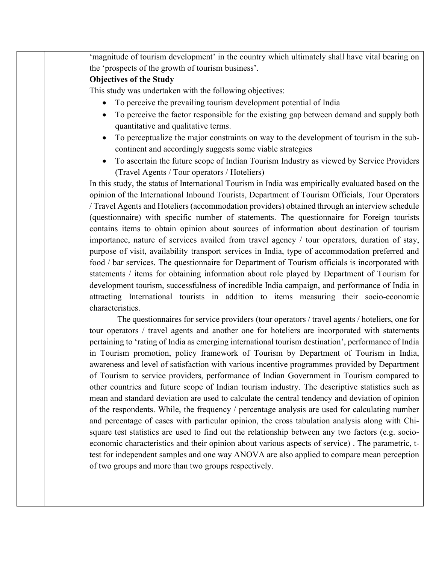| 'magnitude of tourism development' in the country which ultimately shall have vital bearing on                                |
|-------------------------------------------------------------------------------------------------------------------------------|
| the 'prospects of the growth of tourism business'.                                                                            |
| <b>Objectives of the Study</b>                                                                                                |
| This study was undertaken with the following objectives:                                                                      |
| To perceive the prevailing tourism development potential of India<br>$\bullet$                                                |
| To perceive the factor responsible for the existing gap between demand and supply both<br>quantitative and qualitative terms. |
| To perceptualize the major constraints on way to the development of tourism in the sub-                                       |
| continent and accordingly suggests some viable strategies                                                                     |
| To ascertain the future scope of Indian Tourism Industry as viewed by Service Providers<br>$\bullet$                          |
| (Travel Agents / Tour operators / Hoteliers)                                                                                  |
| In this study, the status of International Tourism in India was empirically evaluated based on the                            |
| opinion of the International Inbound Tourists, Department of Tourism Officials, Tour Operators                                |
| / Travel Agents and Hoteliers (accommodation providers) obtained through an interview schedule                                |
| (questionnaire) with specific number of statements. The questionnaire for Foreign tourists                                    |
| contains items to obtain opinion about sources of information about destination of tourism                                    |
| importance, nature of services availed from travel agency / tour operators, duration of stay,                                 |
| purpose of visit, availability transport services in India, type of accommodation preferred and                               |
| food / bar services. The questionnaire for Department of Tourism officials is incorporated with                               |
| statements / items for obtaining information about role played by Department of Tourism for                                   |
| development tourism, successfulness of incredible India campaign, and performance of India in                                 |
| attracting International tourists in addition to items measuring their socio-economic                                         |
| characteristics.                                                                                                              |
| The questionnaires for service providers (tour operators / travel agents / hoteliers, one for                                 |
| tour operators / travel agents and another one for hoteliers are incorporated with statements                                 |
| pertaining to 'rating of India as emerging international tourism destination', performance of India                           |
| in Tourism promotion, policy framework of Tourism by Department of Tourism in India,                                          |
| awareness and level of satisfaction with various incentive programmes provided by Department                                  |
| of Tourism to service providers, performance of Indian Government in Tourism compared to                                      |
| other countries and future scope of Indian tourism industry. The descriptive statistics such as                               |
| mean and standard deviation are used to calculate the central tendency and deviation of opinion                               |
| of the respondents. While, the frequency / percentage analysis are used for calculating number                                |
| and percentage of cases with particular opinion, the cross tabulation analysis along with Chi-                                |
| square test statistics are used to find out the relationship between any two factors (e.g. socio-                             |
| economic characteristics and their opinion about various aspects of service). The parametric, t-                              |

test for independent samples and one way ANOVA are also applied to compare mean perception

of two groups and more than two groups respectively.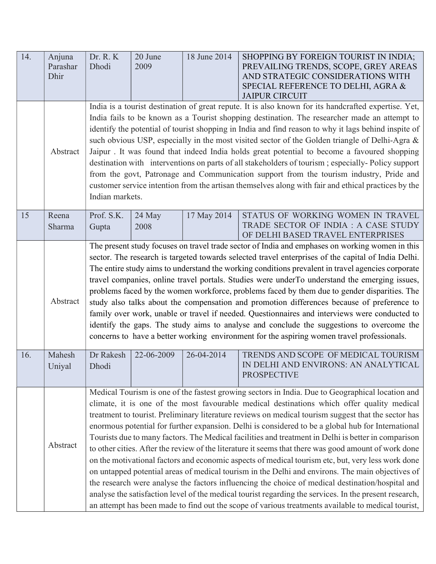| 14. | Anjuna<br>Parashar<br>Dhir | Dr. R. K<br>Dhodi                                                                                                                                                                                                                                                                                                                                                                                                                                                                                                                                                                                                                                                                                                                                                                                                                                                                                                                                                                                                                                                                                                                                       | 20 June<br>2009 | 18 June 2014 | SHOPPING BY FOREIGN TOURIST IN INDIA;<br>PREVAILING TRENDS, SCOPE, GREY AREAS<br>AND STRATEGIC CONSIDERATIONS WITH<br>SPECIAL REFERENCE TO DELHI, AGRA &<br><b>JAIPUR CIRCUIT</b> |  |  |
|-----|----------------------------|---------------------------------------------------------------------------------------------------------------------------------------------------------------------------------------------------------------------------------------------------------------------------------------------------------------------------------------------------------------------------------------------------------------------------------------------------------------------------------------------------------------------------------------------------------------------------------------------------------------------------------------------------------------------------------------------------------------------------------------------------------------------------------------------------------------------------------------------------------------------------------------------------------------------------------------------------------------------------------------------------------------------------------------------------------------------------------------------------------------------------------------------------------|-----------------|--------------|-----------------------------------------------------------------------------------------------------------------------------------------------------------------------------------|--|--|
|     | Abstract                   | India is a tourist destination of great repute. It is also known for its handcrafted expertise. Yet,<br>India fails to be known as a Tourist shopping destination. The researcher made an attempt to<br>identify the potential of tourist shopping in India and find reason to why it lags behind inspite of<br>such obvious USP, especially in the most visited sector of the Golden triangle of Delhi-Agra &<br>Jaipur. It was found that indeed India holds great potential to become a favoured shopping<br>destination with interventions on parts of all stakeholders of tourism; especially-Policy support<br>from the govt, Patronage and Communication support from the tourism industry, Pride and<br>customer service intention from the artisan themselves along with fair and ethical practices by the<br>Indian markets.                                                                                                                                                                                                                                                                                                                  |                 |              |                                                                                                                                                                                   |  |  |
| 15  | Reena<br>Sharma            | Prof. S.K.<br>Gupta                                                                                                                                                                                                                                                                                                                                                                                                                                                                                                                                                                                                                                                                                                                                                                                                                                                                                                                                                                                                                                                                                                                                     | 24 May<br>2008  | 17 May 2014  | STATUS OF WORKING WOMEN IN TRAVEL<br>TRADE SECTOR OF INDIA : A CASE STUDY<br>OF DELHI BASED TRAVEL ENTERPRISES                                                                    |  |  |
|     | Abstract                   | The present study focuses on travel trade sector of India and emphases on working women in this<br>sector. The research is targeted towards selected travel enterprises of the capital of India Delhi.<br>The entire study aims to understand the working conditions prevalent in travel agencies corporate<br>travel companies, online travel portals. Studies were underTo understand the emerging issues,<br>problems faced by the women workforce, problems faced by them due to gender disparities. The<br>study also talks about the compensation and promotion differences because of preference to<br>family over work, unable or travel if needed. Questionnaires and interviews were conducted to<br>identify the gaps. The study aims to analyse and conclude the suggestions to overcome the<br>concerns to have a better working environment for the aspiring women travel professionals.                                                                                                                                                                                                                                                  |                 |              |                                                                                                                                                                                   |  |  |
| 16. | Mahesh<br>Uniyal           | Dr Rakesh<br>Dhodi                                                                                                                                                                                                                                                                                                                                                                                                                                                                                                                                                                                                                                                                                                                                                                                                                                                                                                                                                                                                                                                                                                                                      | 22-06-2009      | 26-04-2014   | TRENDS AND SCOPE OF MEDICAL TOURISM<br>IN DELHI AND ENVIRONS: AN ANALYTICAL<br><b>PROSPECTIVE</b>                                                                                 |  |  |
|     | Abstract                   | Medical Tourism is one of the fastest growing sectors in India. Due to Geographical location and<br>climate, it is one of the most favourable medical destinations which offer quality medical<br>treatment to tourist. Preliminary literature reviews on medical tourism suggest that the sector has<br>enormous potential for further expansion. Delhi is considered to be a global hub for International<br>Tourists due to many factors. The Medical facilities and treatment in Delhi is better in comparison<br>to other cities. After the review of the literature it seems that there was good amount of work done<br>on the motivational factors and economic aspects of medical tourism etc, but, very less work done<br>on untapped potential areas of medical tourism in the Delhi and environs. The main objectives of<br>the research were analyse the factors influencing the choice of medical destination/hospital and<br>analyse the satisfaction level of the medical tourist regarding the services. In the present research,<br>an attempt has been made to find out the scope of various treatments available to medical tourist, |                 |              |                                                                                                                                                                                   |  |  |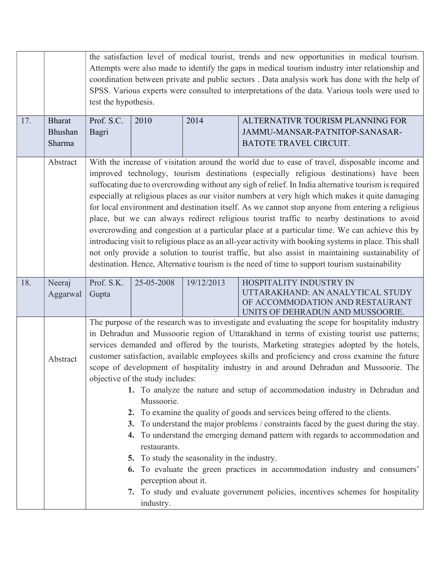|     |                                    | the satisfaction level of medical tourist, trends and new opportunities in medical tourism.<br>Attempts were also made to identify the gaps in medical tourism industry inter relationship and<br>coordination between private and public sectors. Data analysis work has done with the help of<br>SPSS. Various experts were consulted to interpretations of the data. Various tools were used to<br>test the hypothesis.                                                                                                                                                                                                                                                                                                                                                                                                                                                                                                                                                                                                                                                                                                                                                                            |            |            |                                                                                                |  |
|-----|------------------------------------|-------------------------------------------------------------------------------------------------------------------------------------------------------------------------------------------------------------------------------------------------------------------------------------------------------------------------------------------------------------------------------------------------------------------------------------------------------------------------------------------------------------------------------------------------------------------------------------------------------------------------------------------------------------------------------------------------------------------------------------------------------------------------------------------------------------------------------------------------------------------------------------------------------------------------------------------------------------------------------------------------------------------------------------------------------------------------------------------------------------------------------------------------------------------------------------------------------|------------|------------|------------------------------------------------------------------------------------------------|--|
| 17. | <b>Bharat</b><br>Bhushan<br>Sharma | Prof. S.C.<br>Bagri                                                                                                                                                                                                                                                                                                                                                                                                                                                                                                                                                                                                                                                                                                                                                                                                                                                                                                                                                                                                                                                                                                                                                                                   | 2010       | 2014       | ALTERNATIVR TOURISM PLANNING FOR<br>JAMMU-MANSAR-PATNITOP-SANASAR-<br>BATOTE TRAVEL CIRCUIT.   |  |
|     | Abstract                           | With the increase of visitation around the world due to ease of travel, disposable income and<br>improved technology, tourism destinations (especially religious destinations) have been<br>suffocating due to overcrowding without any sigh of relief. In India alternative tourism is required<br>especially at religious places as our visitor numbers at very high which makes it quite damaging<br>for local environment and destination itself. As we cannot stop anyone from entering a religious<br>place, but we can always redirect religious tourist traffic to nearby destinations to avoid<br>overcrowding and congestion at a particular place at a particular time. We can achieve this by<br>introducing visit to religious place as an all-year activity with booking systems in place. This shall<br>not only provide a solution to tourist traffic, but also assist in maintaining sustainability of<br>destination. Hence, Alternative tourism is the need of time to support tourism sustainability                                                                                                                                                                              |            |            |                                                                                                |  |
| 18. | Neeraj<br>Aggarwal                 | Prof. S.K.<br>Gupta                                                                                                                                                                                                                                                                                                                                                                                                                                                                                                                                                                                                                                                                                                                                                                                                                                                                                                                                                                                                                                                                                                                                                                                   | 25-05-2008 | 19/12/2013 | HOSPITALITY INDUSTRY IN<br>UTTARAKHAND: AN ANALYTICAL STUDY<br>OF ACCOMMODATION AND RESTAURANT |  |
|     | Abstract                           | UNITS OF DEHRADUN AND MUSSOORIE.<br>The purpose of the research was to investigate and evaluating the scope for hospitality industry<br>in Dehradun and Mussoorie region of Uttarakhand in terms of existing tourist use patterns;<br>services demanded and offered by the tourists, Marketing strategies adopted by the hotels,<br>customer satisfaction, available employees skills and proficiency and cross examine the future<br>scope of development of hospitality industry in and around Dehradun and Mussoorie. The<br>objective of the study includes:<br>1. To analyze the nature and setup of accommodation industry in Dehradun and<br>Mussoorie.<br>2. To examine the quality of goods and services being offered to the clients.<br>To understand the major problems / constraints faced by the guest during the stay.<br>3.<br>4. To understand the emerging demand pattern with regards to accommodation and<br>restaurants.<br>5. To study the seasonality in the industry.<br>6. To evaluate the green practices in accommodation industry and consumers'<br>perception about it.<br>7. To study and evaluate government policies, incentives schemes for hospitality<br>industry. |            |            |                                                                                                |  |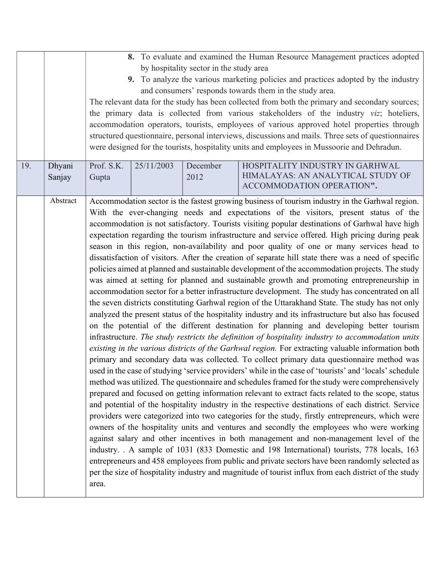| 19. | Dhyani   | 8. To evaluate and examined the Human Resource Management practices adopted<br>by hospitality sector in the study area<br>9. To analyze the various marketing policies and practices adopted by the industry<br>and consumers' responds towards them in the study area.<br>The relevant data for the study has been collected from both the primary and secondary sources;<br>the primary data is collected from various stakeholders of the industry viz; hoteliers,<br>accommodation operators, tourists, employees of various approved hotel properties through<br>structured questionnaire, personal interviews, discussions and mails. Three sets of questionnaires<br>were designed for the tourists, hospitality units and employees in Mussoorie and Dehradun.                                                                                                                                                                                                                                                                                                                                                                                                                                                                                                                                                                                                                                                                                                                                                                                                                                                                                                                                                                                                                                                                                                                                                                                                                                                                                                                                                                                                                                                                                                                                                                                                                                                                                                                                                                                                                                               |  |      |                                                                |  |
|-----|----------|----------------------------------------------------------------------------------------------------------------------------------------------------------------------------------------------------------------------------------------------------------------------------------------------------------------------------------------------------------------------------------------------------------------------------------------------------------------------------------------------------------------------------------------------------------------------------------------------------------------------------------------------------------------------------------------------------------------------------------------------------------------------------------------------------------------------------------------------------------------------------------------------------------------------------------------------------------------------------------------------------------------------------------------------------------------------------------------------------------------------------------------------------------------------------------------------------------------------------------------------------------------------------------------------------------------------------------------------------------------------------------------------------------------------------------------------------------------------------------------------------------------------------------------------------------------------------------------------------------------------------------------------------------------------------------------------------------------------------------------------------------------------------------------------------------------------------------------------------------------------------------------------------------------------------------------------------------------------------------------------------------------------------------------------------------------------------------------------------------------------------------------------------------------------------------------------------------------------------------------------------------------------------------------------------------------------------------------------------------------------------------------------------------------------------------------------------------------------------------------------------------------------------------------------------------------------------------------------------------------------|--|------|----------------------------------------------------------------|--|
|     | Sanjay   | Gupta                                                                                                                                                                                                                                                                                                                                                                                                                                                                                                                                                                                                                                                                                                                                                                                                                                                                                                                                                                                                                                                                                                                                                                                                                                                                                                                                                                                                                                                                                                                                                                                                                                                                                                                                                                                                                                                                                                                                                                                                                                                                                                                                                                                                                                                                                                                                                                                                                                                                                                                                                                                                                |  | 2012 | HIMALAYAS: AN ANALYTICAL STUDY OF<br>ACCOMMODATION OPERATION". |  |
|     | Abstract | HOSPITALITY INDUSTRY IN GARHWAL<br>Prof. S.K.<br>25/11/2003<br>December<br>Accommodation sector is the fastest growing business of tourism industry in the Garhwal region.<br>With the ever-changing needs and expectations of the visitors, present status of the<br>accommodation is not satisfactory. Tourists visiting popular destinations of Garhwal have high<br>expectation regarding the tourism infrastructure and service offered. High pricing during peak<br>season in this region, non-availability and poor quality of one or many services head to<br>dissatisfaction of visitors. After the creation of separate hill state there was a need of specific<br>policies aimed at planned and sustainable development of the accommodation projects. The study<br>was aimed at setting for planned and sustainable growth and promoting entrepreneurship in<br>accommodation sector for a better infrastructure development. The study has concentrated on all<br>the seven districts constituting Garhwal region of the Uttarakhand State. The study has not only<br>analyzed the present status of the hospitality industry and its infrastructure but also has focused<br>on the potential of the different destination for planning and developing better tourism<br>infrastructure. The study restricts the definition of hospitality industry to accommodation units<br>existing in the various districts of the Garhwal region. For extracting valuable information both<br>primary and secondary data was collected. To collect primary data questionnaire method was<br>used in the case of studying 'service providers' while in the case of 'tourists' and 'locals' schedule<br>method was utilized. The questionnaire and schedules framed for the study were comprehensively<br>prepared and focused on getting information relevant to extract facts related to the scope, status<br>and potential of the hospitality industry in the respective destinations of each district. Service<br>providers were categorized into two categories for the study, firstly entrepreneurs, which were<br>owners of the hospitality units and ventures and secondly the employees who were working<br>against salary and other incentives in both management and non-management level of the<br>industry. . A sample of 1031 (833 Domestic and 198 International) tourists, 778 locals, 163<br>entrepreneurs and 458 employees from public and private sectors have been randomly selected as<br>per the size of hospitality industry and magnitude of tourist influx from each district of the study |  |      |                                                                |  |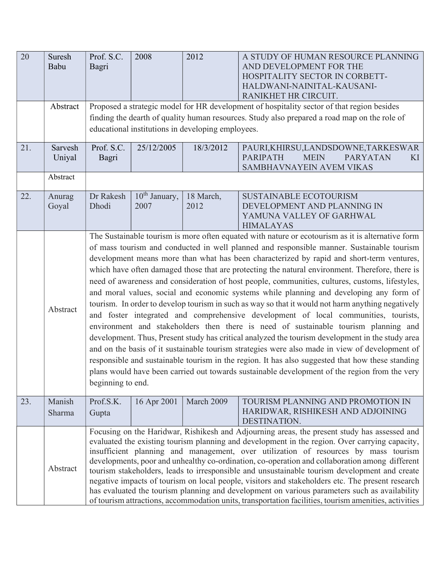| 20  | Suresh<br>Babu    | Prof. S.C.<br>Bagri                                                                                                                                                                                                                                                                                                                                                                                                                                                                                                                                                                                                                                                                                                                                                                                                                                                                                                                                                                                                                                                                                                                                                                                                                                                                                             | 2008                                                                                                                                                                                                                                            | 2012              | A STUDY OF HUMAN RESOURCE PLANNING<br>AND DEVELOPMENT FOR THE<br>HOSPITALITY SECTOR IN CORBETT-<br>HALDWANI-NAINITAL-KAUSANI-<br>RANIKHET HR CIRCUIT. |  |  |  |
|-----|-------------------|-----------------------------------------------------------------------------------------------------------------------------------------------------------------------------------------------------------------------------------------------------------------------------------------------------------------------------------------------------------------------------------------------------------------------------------------------------------------------------------------------------------------------------------------------------------------------------------------------------------------------------------------------------------------------------------------------------------------------------------------------------------------------------------------------------------------------------------------------------------------------------------------------------------------------------------------------------------------------------------------------------------------------------------------------------------------------------------------------------------------------------------------------------------------------------------------------------------------------------------------------------------------------------------------------------------------|-------------------------------------------------------------------------------------------------------------------------------------------------------------------------------------------------------------------------------------------------|-------------------|-------------------------------------------------------------------------------------------------------------------------------------------------------|--|--|--|
|     | Abstract          |                                                                                                                                                                                                                                                                                                                                                                                                                                                                                                                                                                                                                                                                                                                                                                                                                                                                                                                                                                                                                                                                                                                                                                                                                                                                                                                 | Proposed a strategic model for HR development of hospitality sector of that region besides<br>finding the dearth of quality human resources. Study also prepared a road map on the role of<br>educational institutions in developing employees. |                   |                                                                                                                                                       |  |  |  |
| 21. | Sarvesh<br>Uniyal | Prof. S.C.<br>Bagri                                                                                                                                                                                                                                                                                                                                                                                                                                                                                                                                                                                                                                                                                                                                                                                                                                                                                                                                                                                                                                                                                                                                                                                                                                                                                             | 25/12/2005                                                                                                                                                                                                                                      | 18/3/2012         | PAURI, KHIRSU, LANDSDOWNE, TARKESWAR<br><b>PARIPATH</b><br><b>MEIN</b><br><b>PARYATAN</b><br>KI<br>SAMBHAVNAYEIN AVEM VIKAS                           |  |  |  |
|     | Abstract          |                                                                                                                                                                                                                                                                                                                                                                                                                                                                                                                                                                                                                                                                                                                                                                                                                                                                                                                                                                                                                                                                                                                                                                                                                                                                                                                 |                                                                                                                                                                                                                                                 |                   |                                                                                                                                                       |  |  |  |
| 22. | Anurag<br>Goyal   | Dr Rakesh<br>Dhodi                                                                                                                                                                                                                                                                                                                                                                                                                                                                                                                                                                                                                                                                                                                                                                                                                                                                                                                                                                                                                                                                                                                                                                                                                                                                                              | 10 <sup>th</sup> January,<br>2007                                                                                                                                                                                                               | 18 March,<br>2012 | <b>SUSTAINABLE ECOTOURISM</b><br>DEVELOPMENT AND PLANNING IN<br>YAMUNA VALLEY OF GARHWAL<br><b>HIMALAYAS</b>                                          |  |  |  |
|     | Abstract          | The Sustainable tourism is more often equated with nature or ecotourism as it is alternative form<br>of mass tourism and conducted in well planned and responsible manner. Sustainable tourism<br>development means more than what has been characterized by rapid and short-term ventures,<br>which have often damaged those that are protecting the natural environment. Therefore, there is<br>need of awareness and consideration of host people, communities, cultures, customs, lifestyles,<br>and moral values, social and economic systems while planning and developing any form of<br>tourism. In order to develop tourism in such as way so that it would not harm anything negatively<br>and foster integrated and comprehensive development of local communities, tourists,<br>environment and stakeholders then there is need of sustainable tourism planning and<br>development. Thus, Present study has critical analyzed the tourism development in the study area<br>and on the basis of it sustainable tourism strategies were also made in view of development of<br>responsible and sustainable tourism in the region. It has also suggested that how these standing<br>plans would have been carried out towards sustainable development of the region from the very<br>beginning to end. |                                                                                                                                                                                                                                                 |                   |                                                                                                                                                       |  |  |  |
| 23. | Manish<br>Sharma  | Prof.S.K.<br>Gupta                                                                                                                                                                                                                                                                                                                                                                                                                                                                                                                                                                                                                                                                                                                                                                                                                                                                                                                                                                                                                                                                                                                                                                                                                                                                                              | 16 Apr 2001                                                                                                                                                                                                                                     | March 2009        | TOURISM PLANNING AND PROMOTION IN<br>HARIDWAR, RISHIKESH AND ADJOINING<br>DESTINATION.                                                                |  |  |  |
|     | Abstract          | Focusing on the Haridwar, Rishikesh and Adjourning areas, the present study has assessed and<br>evaluated the existing tourism planning and development in the region. Over carrying capacity,<br>insufficient planning and management, over utilization of resources by mass tourism<br>developments, poor and unhealthy co-ordination, co-operation and collaboration among different<br>tourism stakeholders, leads to irresponsible and unsustainable tourism development and create<br>negative impacts of tourism on local people, visitors and stakeholders etc. The present research<br>has evaluated the tourism planning and development on various parameters such as availability<br>of tourism attractions, accommodation units, transportation facilities, tourism amenities, activities                                                                                                                                                                                                                                                                                                                                                                                                                                                                                                          |                                                                                                                                                                                                                                                 |                   |                                                                                                                                                       |  |  |  |